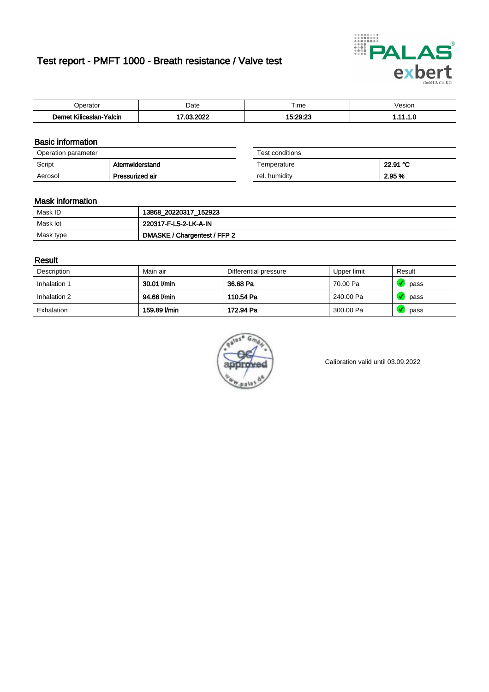# Test report - PMFT 1000 - Breath resistance / Valve test



| )perator                           | Date              | $- \cdot$<br>Гіmе | esion |
|------------------------------------|-------------------|-------------------|-------|
| .<br>Yalcin<br>⊿slan-`<br>∴∧Ilicae | 0000<br>. റെ<br>w | $15.20 - 27$      | .     |

### Basic information

| Operation parameter |                 | Test conditions |          |
|---------------------|-----------------|-----------------|----------|
| Script              | Atemwiderstand  | Temperature     | 22.91 °C |
| Aerosol             | Pressurized air | rel. humidity   | 2.95 %   |

| Test conditions |          |
|-----------------|----------|
| Temperature     | 22.91 °C |
| rel. humidity   | 2.95 %   |

### Mask information

| Mask ID   | 13868_20220317_152923        |
|-----------|------------------------------|
| Mask lot  | 220317-F-L5-2-LK-A-IN        |
| Mask type | DMASKE / Chargentest / FFP 2 |

### Result

| Description  | Main air     | Differential pressure | Upper limit | Result |
|--------------|--------------|-----------------------|-------------|--------|
| Inhalation 1 | 30.01 l/min  | 36.68 Pa              | 70.00 Pa    | pass   |
| Inhalation 2 | 94.66 l/min  | 110.54 Pa             | 240.00 Pa   | pass   |
| Exhalation   | 159.89 l/min | 172.94 Pa             | 300.00 Pa   | pass   |



Calibration valid until 03.09.2022